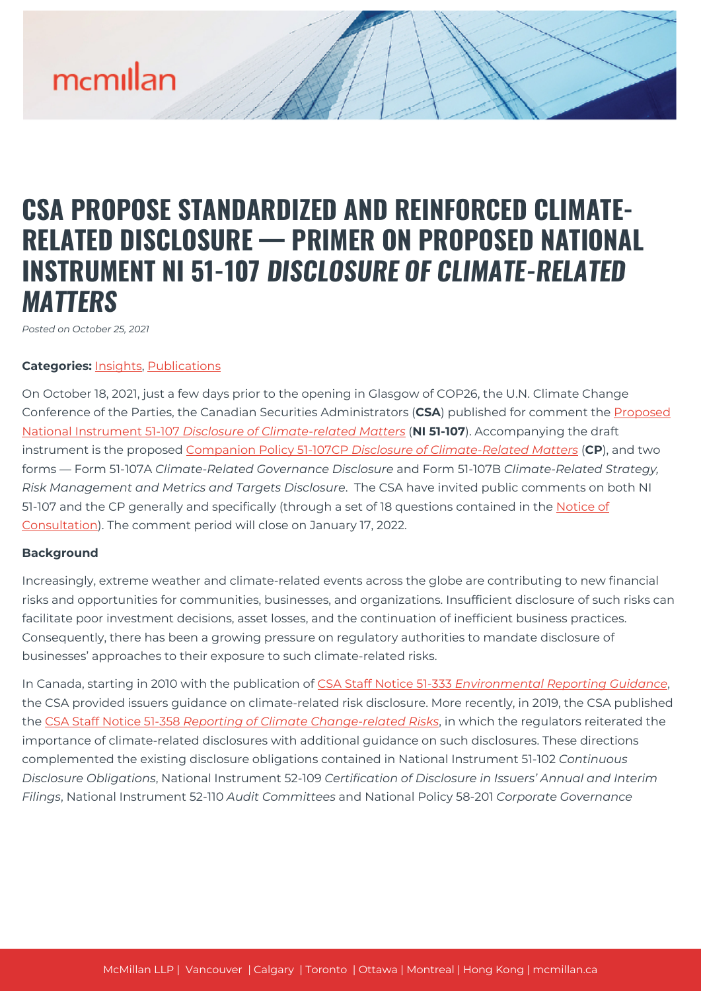# **CSA PROPOSE STANDARDIZED AND REINFORCED CLIMATE-RELATED DISCLOSURE — PRIMER ON PROPOSED NATIONAL INSTRUMENT NI 51-107** *DISCLOSURE OF CLIMATE-RELATED MATTERS*

*Posted on October 25, 2021*

### **Categories:** [Insights,](https://mcmillan.ca/insights/) [Publications](https://mcmillan.ca/insights/publications/)

On October 18, 2021, just a few days prior to the opening in Glasgow of COP26, the U.N. Climate Change Conference of the Parties, the Canadian Securities Administrators (**CSA**) published for comment the [Proposed](https://www.osc.ca/sites/default/files/2021-10/csa_20211018_51-107_disclosure-update.pdf) [National Instrument 51-107](https://www.osc.ca/sites/default/files/2021-10/csa_20211018_51-107_disclosure-update.pdf) *[Disclosure of Climate-related Matters](https://www.osc.ca/sites/default/files/2021-10/csa_20211018_51-107_disclosure-update.pdf)* (**NI 51-107**). Accompanying the draft instrument is the proposed [Companion Policy 51-107CP](https://lautorite.qc.ca/fileadmin/lautorite/reglementation/valeurs-mobilieres/51-107/2021-10-18/2021oct18-51-107-ig-cons-en.pdf) *[Disclosure of Climate-Related Matters](https://lautorite.qc.ca/fileadmin/lautorite/reglementation/valeurs-mobilieres/51-107/2021-10-18/2021oct18-51-107-ig-cons-en.pdf)* (**CP**), and two forms — Form 51-107A *Climate-Related Governance Disclosure* and Form 51-107B *Climate-Related Strategy, Risk Management and Metrics and Targets Disclosure*. The CSA have invited public comments on both NI 51-107 and the CP generally and specifically (through a set of 18 questions contained in the [Notice of](https://lautorite.qc.ca/fileadmin/lautorite/reglementation/valeurs-mobilieres/51-107/2021-10-18/2021oct18-51-107-avis-cons-en.pdf) [Consultation](https://lautorite.qc.ca/fileadmin/lautorite/reglementation/valeurs-mobilieres/51-107/2021-10-18/2021oct18-51-107-avis-cons-en.pdf)). The comment period will close on January 17, 2022.

### **Background**

Increasingly, extreme weather and climate-related events across the globe are contributing to new financial risks and opportunities for communities, businesses, and organizations. Insufficient disclosure of such risks can facilitate poor investment decisions, asset losses, and the continuation of inefficient business practices. Consequently, there has been a growing pressure on regulatory authorities to mandate disclosure of businesses' approaches to their exposure to such climate-related risks.

In Canada, starting in 2010 with the publication of [CSA Staff Notice 51-333](https://www.osc.ca/sites/default/files/pdfs/irps/csa_20101027_51-333_environmental-reporting.pdf) *[Environmental Reporting Guidance](https://www.osc.ca/sites/default/files/pdfs/irps/csa_20101027_51-333_environmental-reporting.pdf)*, the CSA provided issuers guidance on climate-related risk disclosure. More recently, in 2019, the CSA published the [CSA Staff Notice 51-358](https://www.osc.ca/sites/default/files/pdfs/irps/csa_20190801_51-358_reporting-of-climate-change-related-risks.pdf) *[Reporting of Climate Change-related Risks](https://www.osc.ca/sites/default/files/pdfs/irps/csa_20190801_51-358_reporting-of-climate-change-related-risks.pdf)*, in which the regulators reiterated the importance of climate-related disclosures with additional guidance on such disclosures. These directions complemented the existing disclosure obligations contained in National Instrument 51-102 *Continuous Disclosure Obligations*, National Instrument 52-109 *Certification of Disclosure in Issuers' Annual and Interim Filings*, National Instrument 52-110 *Audit Committees* and National Policy 58-201 *Corporate Governance*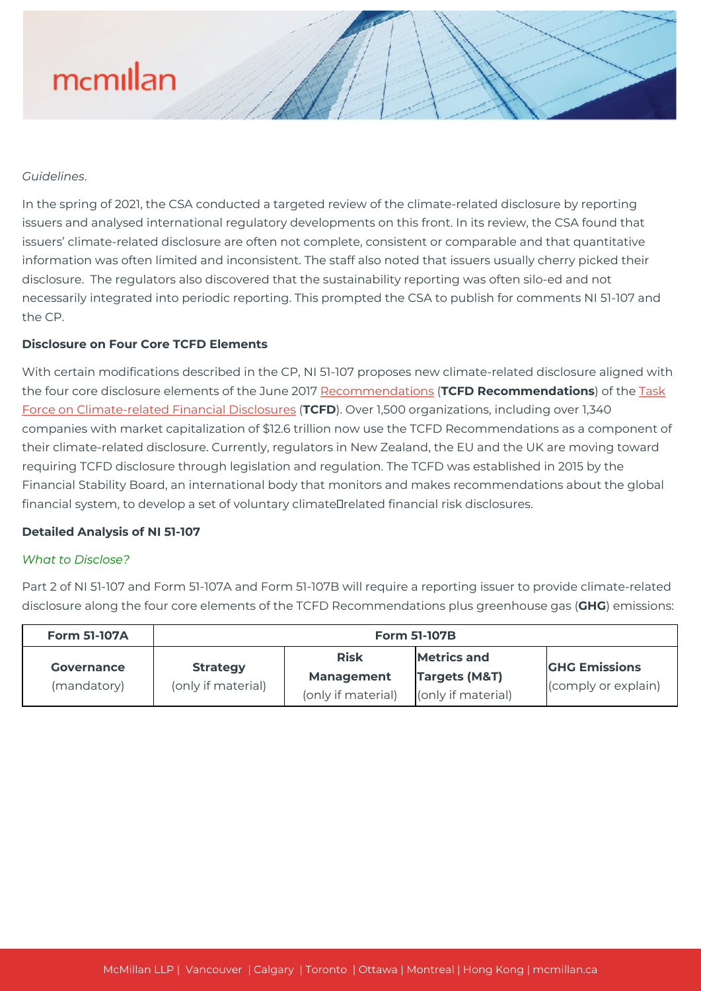#### *Guidelines*.

In the spring of 2021, the CSA conducted a targeted review of the climate-related disclosure by reporting issuers and analysed international regulatory developments on this front. In its review, the CSA found that issuers' climate-related disclosure are often not complete, consistent or comparable and that quantitative information was often limited and inconsistent. The staff also noted that issuers usually cherry picked their disclosure. The regulators also discovered that the sustainability reporting was often silo-ed and not necessarily integrated into periodic reporting. This prompted the CSA to publish for comments NI 51-107 and the CP.

### **Disclosure on Four Core TCFD Elements**

With certain modifications described in the CP, NI 51-107 proposes new climate-related disclosure aligned with the four core disclosure elements of the June 2017 [Recommendations](https://assets.bbhub.io/company/sites/60/2021/10/FINAL-2017-TCFD-Report.pdf) (**TCFD Recommendations**) of the [Task](https://www.fsb-tcfd.org/) [Force on Climate-related Financial Disclosures](https://www.fsb-tcfd.org/) (**TCFD**). Over 1,500 organizations, including over 1,340 companies with market capitalization of \$12.6 trillion now use the TCFD Recommendations as a component of their climate-related disclosure. Currently, regulators in New Zealand, the EU and the UK are moving toward requiring TCFD disclosure through legislation and regulation. The TCFD was established in 2015 by the Financial Stability Board, an international body that monitors and makes recommendations about the global financial system, to develop a set of voluntary climateDrelated financial risk disclosures.

#### **Detailed Analysis of NI 51-107**

#### *What to Disclose?*

Part 2 of NI 51-107 and Form 51-107A and Form 51-107B will require a reporting issuer to provide climate-related disclosure along the four core elements of the TCFD Recommendations plus greenhouse gas (**GHG**) emissions:

| <b>Form 51-107A</b>                                 | <b>Form 51-107B</b> |                                                        |                                                                      |                                             |  |
|-----------------------------------------------------|---------------------|--------------------------------------------------------|----------------------------------------------------------------------|---------------------------------------------|--|
| <b>Strategy</b><br><b>Governance</b><br>(mandatory) | (only if material)  | <b>Risk</b><br><b>Management</b><br>(only if material) | <b>Metrics and</b><br><b>Targets (M&amp;T)</b><br>(only if material) | <b>GHG Emissions</b><br>(comply or explain) |  |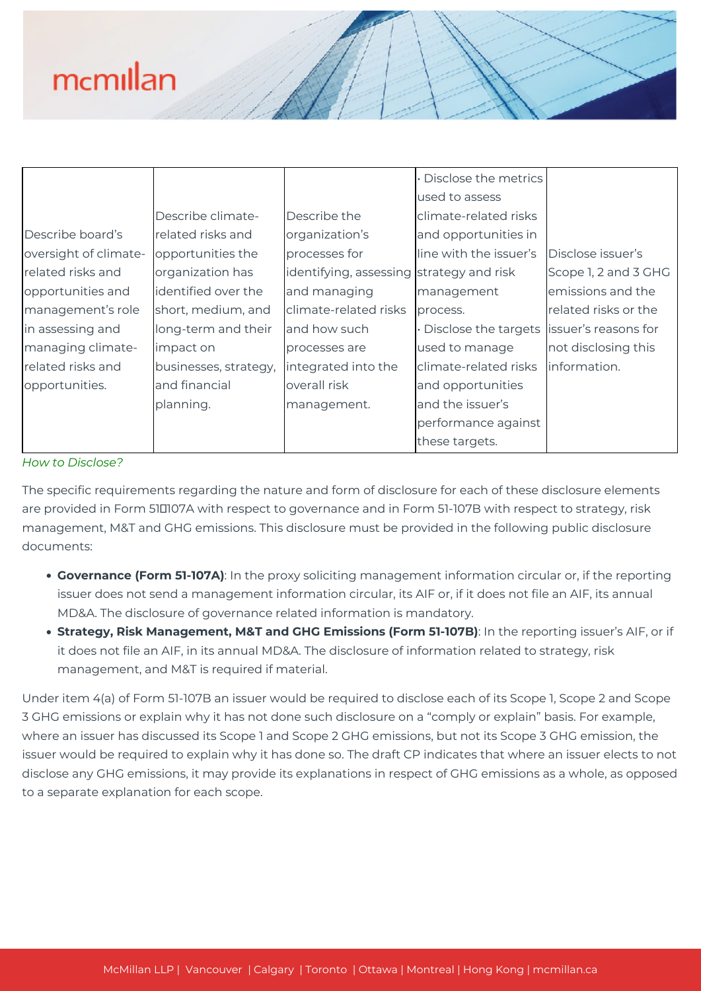|                       |                       |                                          | · Disclose the metrics |                      |
|-----------------------|-----------------------|------------------------------------------|------------------------|----------------------|
|                       |                       |                                          | used to assess         |                      |
|                       | Describe climate-     | Describe the                             | climate-related risks  |                      |
| Describe board's      | related risks and     | organization's                           | and opportunities in   |                      |
| oversight of climate- | opportunities the     | processes for                            | line with the issuer's | Disclose issuer's    |
| related risks and     | organization has      | identifying, assessing strategy and risk |                        | Scope 1, 2 and 3 GHG |
| opportunities and     | identified over the   | and managing                             | management             | emissions and the    |
| management's role     | short, medium, and    | climate-related risks                    | process.               | related risks or the |
| in assessing and      | long-term and their   | and how such                             | Disclose the targets   | issuer's reasons for |
| managing climate-     | impact on             | processes are                            | used to manage         | not disclosing this  |
| related risks and     | businesses, strategy, | integrated into the                      | climate-related risks  | linformation.        |
| opportunities.        | and financial         | overall risk                             | and opportunities      |                      |
|                       | planning.             | management.                              | and the issuer's       |                      |
|                       |                       |                                          | performance against    |                      |
|                       |                       |                                          | these targets.         |                      |

### *How to Disclose?*

The specific requirements regarding the nature and form of disclosure for each of these disclosure elements are provided in Form 510107A with respect to governance and in Form 51-107B with respect to strategy, risk management, M&T and GHG emissions. This disclosure must be provided in the following public disclosure documents:

- **Governance (Form 51-107A)**: In the proxy soliciting management information circular or, if the reporting issuer does not send a management information circular, its AIF or, if it does not file an AIF, its annual MD&A. The disclosure of governance related information is mandatory.
- **Strategy, Risk Management, M&T and GHG Emissions (Form 51-107B)**: In the reporting issuer's AIF, or if it does not file an AIF, in its annual MD&A. The disclosure of information related to strategy, risk management, and M&T is required if material.

Under item 4(a) of Form 51-107B an issuer would be required to disclose each of its Scope 1, Scope 2 and Scope 3 GHG emissions or explain why it has not done such disclosure on a "comply or explain" basis. For example, where an issuer has discussed its Scope 1 and Scope 2 GHG emissions, but not its Scope 3 GHG emission, the issuer would be required to explain why it has done so. The draft CP indicates that where an issuer elects to not disclose any GHG emissions, it may provide its explanations in respect of GHG emissions as a whole, as opposed to a separate explanation for each scope.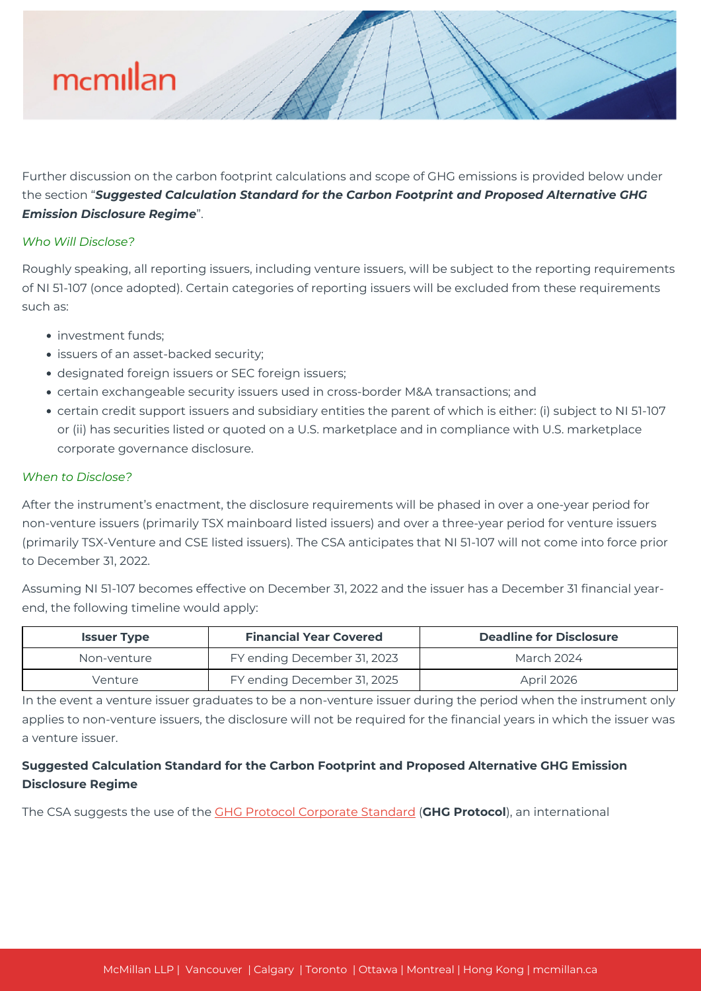Further discussion on the carbon footprint calculations and scope of GHG emissions is provided below under the section "*Suggested Calculation Standard for the Carbon Footprint and Proposed Alternative GHG Emission Disclosure Regime*".

### *Who Will Disclose?*

Roughly speaking, all reporting issuers, including venture issuers, will be subject to the reporting requirements of NI 51-107 (once adopted). Certain categories of reporting issuers will be excluded from these requirements such as:

- investment funds;
- issuers of an asset-backed security;
- designated foreign issuers or SEC foreign issuers;
- certain exchangeable security issuers used in cross-border M&A transactions; and
- certain credit support issuers and subsidiary entities the parent of which is either: (i) subject to NI 51-107 or (ii) has securities listed or quoted on a U.S. marketplace and in compliance with U.S. marketplace corporate governance disclosure.

### *When to Disclose?*

After the instrument's enactment, the disclosure requirements will be phased in over a one-year period for non-venture issuers (primarily TSX mainboard listed issuers) and over a three-year period for venture issuers (primarily TSX-Venture and CSE listed issuers). The CSA anticipates that NI 51-107 will not come into force prior to December 31, 2022.

Assuming NI 51-107 becomes effective on December 31, 2022 and the issuer has a December 31 financial yearend, the following timeline would apply:

| <b>Issuer Type</b> | <b>Financial Year Covered</b> | <b>Deadline for Disclosure</b> |  |
|--------------------|-------------------------------|--------------------------------|--|
| Non-venture        | FY ending December 31, 2023   | March 2024                     |  |
| Venture            | FY ending December 31, 2025   | <b>April 2026</b>              |  |

In the event a venture issuer graduates to be a non-venture issuer during the period when the instrument only applies to non-venture issuers, the disclosure will not be required for the financial years in which the issuer was a venture issuer.

# **Suggested Calculation Standard for the Carbon Footprint and Proposed Alternative GHG Emission Disclosure Regime**

The CSA suggests the use of the [GHG Protocol Corporate Standard](https://ghgprotocol.org/sites/default/files/standards/ghg-protocol-revised.pdf) (**GHG Protocol**), an international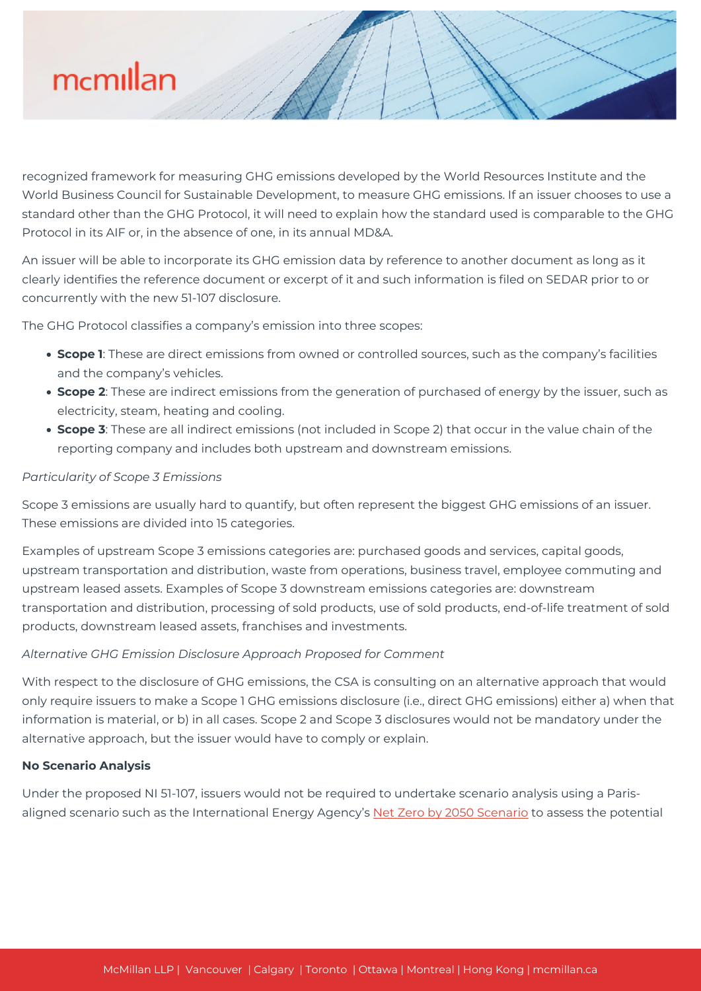recognized framework for measuring GHG emissions developed by the World Resources Institute and the World Business Council for Sustainable Development, to measure GHG emissions. If an issuer chooses to use a standard other than the GHG Protocol, it will need to explain how the standard used is comparable to the GHG Protocol in its AIF or, in the absence of one, in its annual MD&A.

An issuer will be able to incorporate its GHG emission data by reference to another document as long as it clearly identifies the reference document or excerpt of it and such information is filed on SEDAR prior to or concurrently with the new 51-107 disclosure.

The GHG Protocol classifies a company's emission into three scopes:

- **Scope 1**: These are direct emissions from owned or controlled sources, such as the company's facilities and the company's vehicles.
- **Scope 2**: These are indirect emissions from the generation of purchased of energy by the issuer, such as electricity, steam, heating and cooling.
- **Scope 3**: These are all indirect emissions (not included in Scope 2) that occur in the value chain of the reporting company and includes both upstream and downstream emissions.

# *Particularity of Scope 3 Emissions*

Scope 3 emissions are usually hard to quantify, but often represent the biggest GHG emissions of an issuer. These emissions are divided into 15 categories.

Examples of upstream Scope 3 emissions categories are: purchased goods and services, capital goods, upstream transportation and distribution, waste from operations, business travel, employee commuting and upstream leased assets. Examples of Scope 3 downstream emissions categories are: downstream transportation and distribution, processing of sold products, use of sold products, end-of-life treatment of sold products, downstream leased assets, franchises and investments.

### *Alternative GHG Emission Disclosure Approach Proposed for Comment*

With respect to the disclosure of GHG emissions, the CSA is consulting on an alternative approach that would only require issuers to make a Scope 1 GHG emissions disclosure (i.e., direct GHG emissions) either a) when that information is material, or b) in all cases. Scope 2 and Scope 3 disclosures would not be mandatory under the alternative approach, but the issuer would have to comply or explain.

# **No Scenario Analysis**

Under the proposed NI 51-107, issuers would not be required to undertake scenario analysis using a Paris-aligned scenario such as the International Energy Agency's [Net Zero by 2050 Scenario](https://www.iea.org/data-and-statistics/data-product/net-zero-by-2050-scenario) to assess the potential